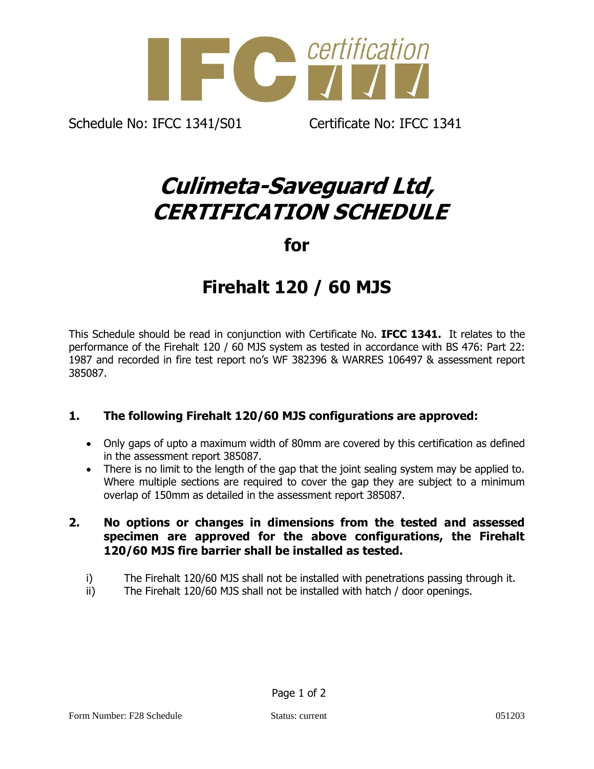

Schedule No: IFCC 1341/S01 Certificate No: IFCC 1341

## **Culimeta-Saveguard Ltd, CERTIFICATION SCHEDULE**

**for**

## **Firehalt 120 / 60 MJS**

This Schedule should be read in conjunction with Certificate No. **IFCC 1341.** It relates to the performance of the Firehalt 120 / 60 MJS system as tested in accordance with BS 476: Part 22: 1987 and recorded in fire test report no's WF 382396 & WARRES 106497 & assessment report 385087.

## **1. The following Firehalt 120/60 MJS configurations are approved:**

- Only gaps of upto a maximum width of 80mm are covered by this certification as defined in the assessment report 385087.
- There is no limit to the length of the gap that the joint sealing system may be applied to. Where multiple sections are required to cover the gap they are subject to a minimum overlap of 150mm as detailed in the assessment report 385087.
- **2. No options or changes in dimensions from the tested and assessed specimen are approved for the above configurations, the Firehalt 120/60 MJS fire barrier shall be installed as tested.**
	- i) The Firehalt 120/60 MJS shall not be installed with penetrations passing through it.
	- ii) The Firehalt 120/60 MJS shall not be installed with hatch / door openings.